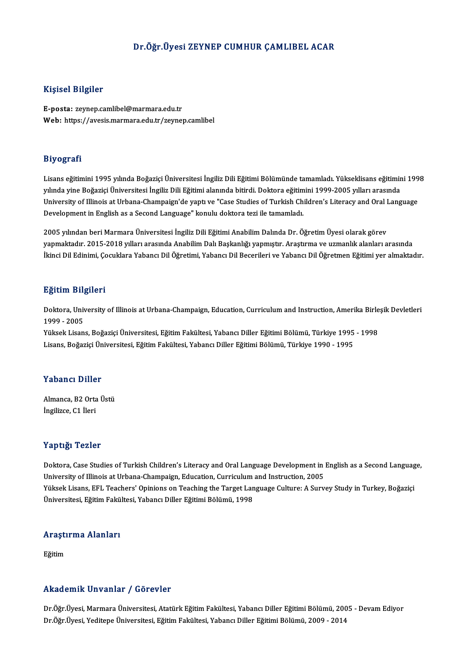## Dr.Öğr.Üyesi ZEYNEP CUMHUR ÇAMLIBEL ACAR

#### Kişisel Bilgiler

E-posta: zeynep.camlibel@marmara.edu.tr Web: https://avesis.marmara.edu.tr/zeynep.camlibel

#### Biyografi

Biyografi<br>Lisans eğitimini 1995 yılında Boğaziçi Üniversitesi İngiliz Dili Eğitimi Bölümünde tamamladı. Yükseklisans eğitimini 1998<br>yılında vine Boğaziçi Üniversitesi İngiliz Dili Eğitimi alanında bitirdi. Dektora eğitimin yılında yaşılırı<br>Lisans eğitimini 1995 yılında Boğaziçi Üniversitesi İngiliz Dili Eğitimi Bölümünde tamamladı. Yükseklisans eğitimir<br>University of Illineis at Urbana Chamnaisrı'da yantı ve "Casa Studies of Turkish Children Lisans eğitimini 1995 yılında Boğaziçi Üniversitesi İngiliz Dili Eğitimi Bölümünde tamamladı. Yükseklisans eğitimini 199<br>yılında yine Boğaziçi Üniversitesi İngiliz Dili Eğitimi alanında bitirdi. Doktora eğitimini 1999-2005 yılında yine Boğaziçi Üniversitesi İngiliz Dili Eğitimi alanında bitirdi. Doktora eğitim<br>University of Illinois at Urbana-Champaign'de yaptı ve "Case Studies of Turkish Ch<br>Development in English as a Second Language" konul Development in English as a Second Language" konulu doktora tezi ile tamamladı.<br>2005 yılından beri Marmara Üniversitesi İngiliz Dili Eğitimi Anabilim Dalında Dr. Öğretim Üyesi olarak görev

yapmaktadır. 2015-2018 yılları arasında Anabilim Dalı Başkanlığı yapmıştır. Araştırma ve uzmanlık alanları arasında İkinci Dil Edinimi, Çocuklara Yabancı Dil Öğretimi, Yabancı Dil Becerileri ve Yabancı Dil Öğretmen Eğitimi yer almaktadır.

#### Eğitim Bilgileri

**Eğitim Bilgileri**<br>Doktora, University of Illinois at Urbana-Champaign, Education, Curriculum and Instruction, Amerika Birleşik Devletleri<br>1999 - 3995 1999 - 211<br>1999 - 2005<br>Vikak Lisan Doktora, University of Illinois at Urbana-Champaign, Education, Curriculum and Instruction, Amerika Birle<br>1999 - 2005<br>Yüksek Lisans, Boğaziçi Üniversitesi, Eğitim Fakültesi, Yabancı Diller Eğitimi Bölümü, Türkiye 1995 - 19

1999 - 2005<br>Yüksek Lisans, Boğaziçi Üniversitesi, Eğitim Fakültesi, Yabancı Diller Eğitimi Bölümü, Türkiye 1995 - 1998<br>Lisans, Boğaziçi Üniversitesi, Eğitim Fakültesi, Yabancı Diller Eğitimi Bölümü, Türkiye 1990 - 1995

#### Yabancı Diller

Almanca,B2OrtaÜstü İngilizce, C1 İleri

#### Yaptığı Tezler

Yaptığı Tezler<br>Doktora, Case Studies of Turkish Children's Literacy and Oral Language Development in English as a Second Language,<br>University of Illineis at Urbane Champaign, Education, Currigulum and Instruction, 2005 Tup right Teater<br>Doktora, Case Studies of Turkish Children's Literacy and Oral Language Development in I<br>University of Illinois at Urbana-Champaign, Education, Curriculum and Instruction, 2005<br>Viktory Literae EEL Teachara' Doktora, Case Studies of Turkish Children's Literacy and Oral Language Development in English as a Second Languag<br>University of Illinois at Urbana-Champaign, Education, Curriculum and Instruction, 2005<br>Yüksek Lisans, EFL T University of Illinois at Urbana-Champaign, Education, Curriculum and Instruction, 2005<br>Yüksek Lisans, EFL Teachers' Opinions on Teaching the Target Language Culture: A Survey Study in Turkey, Boğaziçi<br>Üniversitesi, Eğitim

# <sub>oniversitesi, egitim raku</sub><br>Araştırma Alanları <mark>Araştı</mark><br>Eğitim

# Akademik Unvanlar / Görevler

Akademik Unvanlar / Görevler<br>Dr.Öğr.Üyesi, Marmara Üniversitesi, Atatürk Eğitim Fakültesi, Yabancı Diller Eğitimi Bölümü, 2005 - Devam Ediyor<br>Dr.Öğr.Üyesi, Yaditane Üniversitesi, Eğitim Fakültesi, Yabancı Diller Eğitimi Bö 11. Madısının Sirvaniar 7 dörevler<br>Dr.Öğr.Üyesi, Marmara Üniversitesi, Atatürk Eğitim Fakültesi, Yabancı Diller Eğitimi Bölümü, 200<br>Dr.Öğr.Üyesi, Yeditepe Üniversitesi, Eğitim Fakültesi, Yabancı Diller Eğitimi Bölümü, 2009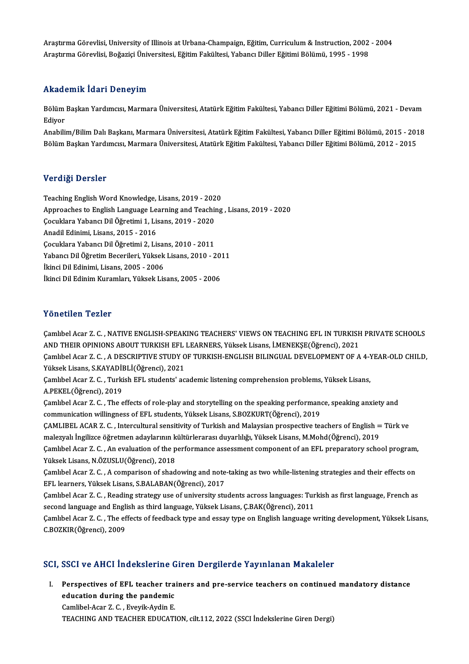Araştırma Görevlisi, University of Illinois at Urbana-Champaign, Eğitim, Curriculum & Instruction, 2002 - 2004<br>Araştırma Görevlisi, Poğarisi Üniversitesi, Eğitim Felsiltesi, Yabancı Diller Eğitimi Bölümü, 1995 - 1998 Araştırma Görevlisi, University of Illinois at Urbana-Champaign, Eğitim, Curriculum & Instruction, 2002<br>Araştırma Görevlisi, Boğaziçi Üniversitesi, Eğitim Fakültesi, Yabancı Diller Eğitimi Bölümü, 1995 - 1998 Araştırma Görevlisi, Boğaziçi Üniversitesi, Eğitim Fakültesi, Yabancı Diller Eğitimi Bölümü, 1995 - 1998<br>Akademik İdari Deneyim

**Akademik İdari Deneyim**<br>Bölüm Başkan Yardımcısı, Marmara Üniversitesi, Atatürk Eğitim Fakültesi, Yabancı Diller Eğitimi Bölümü, 2021 - Devam<br>Ediyor nnaa<br>Bölüm<br>Ediyor<br>Anabilii Bölüm Başkan Yardımcısı, Marmara Üniversitesi, Atatürk Eğitim Fakültesi, Yabancı Diller Eğitimi Bölümü, 2021 - Devam<br>Ediyor<br>Anabilim/Bilim Dalı Başkanı, Marmara Üniversitesi, Atatürk Eğitim Fakültesi, Yabancı Diller Eğitim

Ediyor<br>Anabilim/Bilim Dalı Başkanı, Marmara Üniversitesi, Atatürk Eğitim Fakültesi, Yabancı Diller Eğitimi Bölümü, 2015 - 201<br>Bölüm Başkan Yardımcısı, Marmara Üniversitesi, Atatürk Eğitim Fakültesi, Yabancı Diller Eğitimi Bölüm Başkan Yardımcısı, Marmara Üniversitesi, Atatürk Eğitim Fakültesi, Yabancı Diller Eğitimi Bölümü, 2012 - 2015<br>Verdiği Dersler

Teaching English Word Knowledge, Lisans, 2019 - 2020 Vor digh Derbier<br>Teaching English Word Knowledge, Lisans, 2019 - 2020<br>Approaches to English Language Learning and Teaching , Lisans, 2019 - 2020<br>Cosuldara Vahang Dil Öğretimi 1, Jisans, 2019 - 2020 Teaching English Word Knowledge, Lisans, 2019 - 202<br>Approaches to English Language Learning and Teachi<br>Çocuklara Yabancı Dil Öğretimi 1, Lisans, 2019 - 2020<br>Anadil Edinimi Lisans, 2015 - 2016 Approaches to English Language Lea<br>Çocuklara Yabancı Dil Öğretimi 1, Lis<br>Anadil Edinimi, Lisans, 2015 - 2016<br>Cocuklara Yabancı Dil Öğretimi 2, Lis Çocuklara Yabancı Dil Öğretimi 1, Lisans, 2019 - 2020<br>Anadil Edinimi, Lisans, 2015 - 2016<br>Çocuklara Yabancı Dil Öğretimi 2, Lisans, 2010 - 2011<br>Yabancı Dil Öğretim Becerileri, Yüksek Lisans, 2010 - 2 Anadil Edinimi, Lisans, 2015 - 2016<br>Çocuklara Yabancı Dil Öğretimi 2, Lisans, 2010 - 2011<br>Yabancı Dil Öğretim Becerileri, Yüksek Lisans, 2010 - 2011<br>İkinci Dil Edinimi Lisans, 2005 - 2006 Çocuklara Yabancı Dil Öğretimi 2, Lisan<br>Yabancı Dil Öğretim Becerileri, Yüksek<br>İkinci Dil Edinimi, Lisans, 2005 - 2006<br>İkinci Dil Edinim Kuramları, Yüksek Lis Yabancı Dil Öğretim Becerileri, Yüksek Lisans, 2010 - 20:<br>İkinci Dil Edinimi, Lisans, 2005 - 2006<br>İkinci Dil Edinim Kuramları, Yüksek Lisans, 2005 - 2006 İkinci Dil Edinim Kuramları, Yüksek Lisans, 2005 - 2006<br>Yönetilen Tezler

Yönetilen Tezler<br>Çamlıbel Acar Z. C. , NATIVE ENGLISH-SPEAKING TEACHERS' VIEWS ON TEACHING EFL IN TURKISH PRIVATE SCHOOLS<br>AND THEIR OPINIONS AROUT TURKISH EFL LEARNERS, Viktork Lisans İ.MENEKSE(Öğrensi), 2021 1 SASSASAT TURISI<br>Çamlıbel Acar Z. C. , NATIVE ENGLISH-SPEAKING TEACHERS' VIEWS ON TEACHING EFL IN TURKISH<br>AND THEIR OPINIONS ABOUT TURKISH EFL LEARNERS, Yüksek Lisans, İ.MENEKŞE(Öğrenci), 2021<br>Camlıbel Acar Z. C. A DESCRI Çamlıbel Acar Z. C. , NATIVE ENGLISH-SPEAKING TEACHERS' VIEWS ON TEACHING EFL IN TURKISH PRIVATE SCHOOLS<br>AND THEIR OPINIONS ABOUT TURKISH EFL LEARNERS, Yüksek Lisans, İ.MENEKŞE(Öğrenci), 2021<br>Çamlıbel Acar Z. C. , A DESCRI AND THEIR OPINIONS ABOUT TURKISH EFL<br>Çamlıbel Acar Z. C. , A DESCRIPTIVE STUDY O<br>Yüksek Lisans, S.KAYADİBLİ(Öğrenci), 2021<br>Camlıbel Acar Z. G., Turkish EEL studenta'ası Çamlıbel Acar Z. C. , A DESCRIPTIVE STUDY OF TURKISH-ENGLISH BILINGUAL DEVELOPMENT OF A 4-1<br>Yüksek Lisans, S.KAYADİBLİ(Öğrenci), 2021<br>Çamlıbel Acar Z. C. , Turkish EFL students' academic listening comprehension problems, Y Yüksek Lisans, S.KAYADİI<br>Çamlıbel Acar Z. C. , Turki<br>A.PEKEL(Öğrenci), 2019<br>Camlıbel Acar Z. C. .The a Çamlıbel Acar Z. C. , Turkish EFL students' academic listening comprehension problems, Yüksek Lisans,<br>A.PEKEL(Öğrenci), 2019<br>Çamlıbel Acar Z. C. , The effects of role-play and storytelling on the speaking performance, spea A.PEKEL(Öğrenci), 2019<br>Çamlıbel Acar Z. C. , The effects of role-play and storytelling on the speaking performance, speaking anxiety and<br>communication willingness of EFL students, Yüksek Lisans, S.BOZKURT(Öğrenci), 2019 Çamlıbel Acar Z. C. , The effects of role-play and storytelling on the speaking performance, speaking anxiety and<br>communication willingness of EFL students, Yüksek Lisans, S.BOZKURT(Öğrenci), 2019<br>ÇAMLIBEL ACAR Z. C. , Int communication willingness of EFL students, Yüksek Lisans, S.BOZKURT(Öğrenci), 2019<br>ÇAMLIBEL ACAR Z. C. , Intercultural sensitivity of Turkish and Malaysian prospective teachers of English =<br>malezyalı İngilizce öğretmen ada ÇAMLIBEL ACAR Z. C. , Intercultural sensitivity of Turkish and Malaysian prospective teachers of English = Türk ve<br>malezyalı İngilizce öğretmen adaylarının kültürlerarası duyarlılığı, Yüksek Lisans, M.Mohd(Öğrenci), 2019<br>Ç malezyalı İngilizce öğretmen adaylarının kültürlerarası duyarlılığı, Yüksek Lisans, M.Mohd(Öğrenci), 2019<br>Çamlıbel Acar Z. C. , An evaluation of the performance assessment component of an EFL preparatory school program,<br>Yü Çamlıbel Acar Z. C. , An evaluation of the performance assessment component of an EFL preparatory school program,<br>Yüksek Lisans, N.ÖZUSLU(Öğrenci), 2018<br>Çamlıbel Acar Z. C. , A comparison of shadowing and note-taking as tw Yüksek Lisans, N.ÖZUSLU(Öğrenci), 2018<br>Çamlıbel Acar Z. C. , A comparison of shadowing and note<br>EFL learners, Yüksek Lisans, S.BALABAN(Öğrenci), 2017<br>Camlıbel Acar Z. C., Boading stratomune of university stu Çamlıbel Acar Z. C. , A comparison of shadowing and note-taking as two while-listening strategies and their effects on<br>EFL learners, Yüksek Lisans, S.BALABAN(Öğrenci), 2017<br>Çamlıbel Acar Z. C. , Reading strategy use of uni EFL learners, Yüksek Lisans, S.BALABAN(Öğrenci), 2017<br>Çamlıbel Acar Z. C. , Reading strategy use of university students across languages: Turkish as first language, French as<br>second language and English as third language, Çamlıbel Acar Z.C., The effects of feedback type and essay type on English language writing development, Yüksek Lisans, C.BOZKIR(Öğrenci),2009

## SCI, SSCI ve AHCI İndekslerine Giren Dergilerde Yayınlanan Makaleler

CI, SSCI ve AHCI Indekslerine Giren Dergilerde Yayınlanan Makaleler<br>I. Perspectives of EFL teacher trainers and pre-service teachers on continued mandatory distance<br>education during the pandamic educatives of EFL teacher transference<br>education during the pandemic<br>Camlibel Acer 7. C. Everik Ardin E. education during the pandemic<br>Camlibel-Acar Z. C., Eveyik-Aydin E.

TEACHINGANDTEACHEREDUCATION, cilt.112,2022 (SSCI İndekslerineGirenDergi)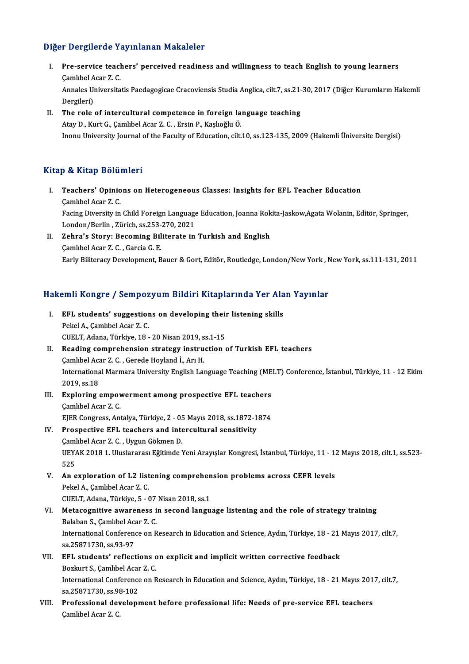## Diğer Dergilerde Yayınlanan Makaleler

- Iger Dergilerde Yayınlanan Makaleler<br>I. Pre-service teachers' perceived readiness and willingness to teach English to young learners<br>Cambbel Acer 7 C Pre-service teach<br>Camlıbel Acar Z.C.<br>Annalas Universite Pre-service teachers' perceived readiness and willingness to teach English to young learners<br>Çamlıbel Acar Z. C.<br>Annales Universitatis Paedagogicae Cracoviensis Studia Anglica, cilt.7, ss.21-30, 2017 (Diğer Kurumların Hake Camlibel<br>Annales U<sub>l</sub><br>Dergileri)<br>The role Annales Universitatis Paedagogicae Cracoviensis Studia Anglica, cilt.7, ss.21-<br>Dergileri)<br>II. The role of intercultural competence in foreign language teaching<br>Atou D. Kurt C. Cambbel Agar 7, C. Ergin B. Kashağlu Ö.
- Dergileri)<br>II. The role of intercultural competence in foreign language teaching<br>Atay D., Kurt G., Çamlıbel Acar Z. C. , Ersin P., Kaşlıoğlu Ö. Inonu University Journal of the Faculty of Education, cilt.10, ss.123-135, 2009 (Hakemli Üniversite Dergisi)

### Kitap & Kitap Bölümleri

- Itap & Kitap Bölümleri<br>I. Teachers' Opinions on Heterogeneous Classes: Insights for EFL Teacher Education<br>Cambbel Acar 7 C gamlıbel<br>Teachers' Opinio<br>Çamlıbel Acar Z.C.<br>Facing Diversity in Teachers' Opinions on Heterogeneous Classes: Insights for EFL Teacher Education<br>Çamlıbel Acar Z. C.<br>Facing Diversity in Child Foreign Language Education, Joanna Rokita-Jaskow,Agata Wolanin, Editör, Springer,<br>Landan/Barlin, Camlıbel Acar Z. C.<br>Facing Diversity in Child Foreign Language<br>London/Berlin , Zürich, ss.253-270, 2021<br>Zehna's Storuy Bosoming Biliterate in Facing Diversity in Child Foreign Language Education, Joanna Rok<br>London/Berlin , Zürich, ss.253-270, 2021<br>II. Zehra's Story: Becoming Biliterate in Turkish and English<br>Cambbal Agar 7. C. Cargia C. E
- London/Berlin , Zürich, ss.253-<br>Zehra's Story: Becoming Bil<br>Çamlıbel Acar Z. C. , Garcia G. E.<br>Farly Bilitaragy Davalanmant B Camlıbel Acar Z. C. , Garcia G. E.<br>Early Biliteracy Development, Bauer & Gort, Editör, Routledge, London/New York , New York, ss.111-131, 2011

# karıy biliteracy bevelopment, bauer & Gort, kaltor, koutledge, London/New York, N<br>Hakemli Kongre / Sempozyum Bildiri Kitaplarında Yer Alan Yayınlar

- akemli Kongre / Sempozyum Bildiri Kitaplarında Yer Ala<br>I. EFL students' suggestions on developing their listening skills<br>Rekel A. Cembbel Ager 7. C FIL Students' suggestion<br>Pekel A., Çamlıbel Acar Z. C.<br>CUELT Adapa Türkiye 18 EFL students' suggestions on developing their<br>Pekel A., Çamlıbel Acar Z. C.<br>CUELT, Adana, Türkiye, 18 - 20 Nisan 2019, ss.1-15<br>Peading comprehension strategy instruction Pekel A., Çamlıbel Acar Z. C.<br>CUELT, Adana, Türkiye, 18 - 20 Nisan 2019, ss.1-15<br>II. Reading comprehension strategy instruction of Turkish EFL teachers<br>Camlıbel Acar Z. C. , Gerede Hoyland İ., Arı H. CUELT, Adana, Türkiye, 18 - 20 Nisan 2019, ss.1-15
- Reading comprehension strategy instruction of Turkish EFL teachers<br>Çamlıbel Acar Z. C. , Gerede Hoyland İ., Arı H.<br>International Marmara University English Language Teaching (MELT) Conference, İstanbul, Türkiye, 11 12 Ek Camlibel Aca<br>Internations<br>2019, ss.18 International Marmara University English Language Teaching (ME<br>2019, ss.18<br>III. Exploring empowerment among prospective EFL teachers<br>Cambbal Agar 7.6
- 2019, ss.18<br>**Exploring empov**<br>Camlıbel Acar Z. C.<br>EIER Congress, Art Exploring empowerment among prospective EFL teachers<br>Camlıbel Acar Z. C.<br>EJER Congress, Antalya, Türkiye, 2 - 05 Mayıs 2018, ss.1872-1874<br>Prospective EEL teachers and interaultural sensitivity Camlibel Acar Z. C.<br>
EJER Congress, Antalya, Türkiye, 2 - 05 Mayıs 2018, ss.1872-1<br>
IV. Prospective EFL teachers and intercultural sensitivity<br>
Camlibel Acar Z. C. Uygun Cölmen D.

- EJER Congress, Antalya, Türkiye, 2 05<br>Prospective EFL teachers and inte<br>Camlıbel Acar Z. C. , Uygun Gökmen D.<br>UEVAK 2018 1 Uluslanares: Eğitimde N Prospective EFL teachers and intercultural sensitivity<br>Çamlıbel Acar Z. C. , Uygun Gökmen D.<br>UEYAK 2018 1. Uluslararası Eğitimde Yeni Arayışlar Kongresi, İstanbul, Türkiye, 11 - 12 Mayıs 2018, cilt.1, ss.523-<br>525 Caml<br>UEY<br>525<br>An e UEYAK 2018 1. Uluslararası Eğitimde Yeni Arayışlar Kongresi, İstanbul, Türkiye, 11 - 1:<br>525<br>V. An exploration of L2 listening comprehension problems across CEFR levels<br>Rekal A Cambbal Agar 7 C
- 525<br>V. An exploration of L2 listening comprehension problems across CEFR levels<br>Pekel A., Çamlıbel Acar Z. C. An exploration of L2 listening comprehen<br>Pekel A., Çamlıbel Acar Z. C.<br>CUELT, Adana, Türkiye, 5 - 07 Nisan 2018, ss.1<br>Metasegnitiye awareness in sesend langu
- VI. Metacognitive awareness in second language listening and the role of strategy training CUELT, Adana, Türkiye, 5 - 07<br>Metacognitive awareness i<br>Balaban S., Çamlıbel Acar Z. C.<br>International Conference on B International Conference on Research in Education and Science, Aydın, Türkiye, 18 - 21 Mayıs 2017, cilt.7, sa.25871730, ss.93-97 Balaban S., Çamlıbel Acar Z. C. International Conference on Research in Education and Science, Aydın, Türkiye, 18 - 21<br>sa.25871730, ss.93-97<br>VII. EFL students' reflections on explicit and implicit written corrective feedback<br>Perluyt S. Combbel Agar 7. C
- sa.25871730, ss.93-97<br><mark>EFL students' reflections c</mark><br>Bozkurt S., Çamlıbel Acar Z. C.<br>International Conference on B EFL students' reflections on explicit and implicit written corrective feedback<br>Bozkurt S., Çamlıbel Acar Z. C.<br>International Conference on Research in Education and Science, Aydın, Türkiye, 18 - 21 Mayıs 2017, cilt.7,<br>88.2 Bozkurt S., Çamlıbel Acar<br>International Conference<br>sa.25871730, ss.98-102<br>Prefessional develent sa 25871730, ss 98-102
- VIII. Professional development before professional life: Needs of pre-service EFL teachers<br>Camlibel Acar Z. C.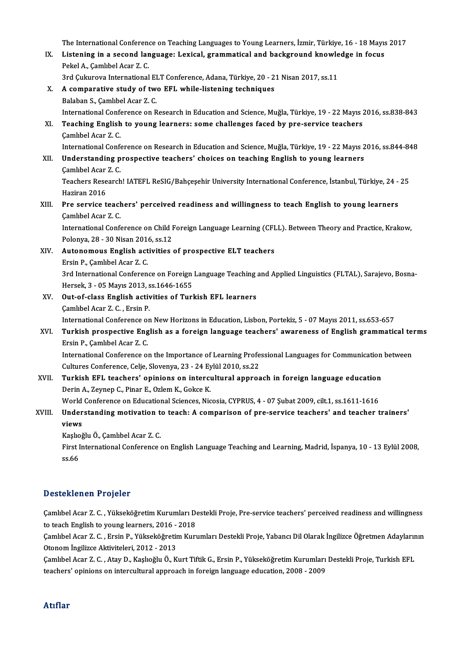The International Conference on Teaching Languages to Young Learners, İzmir, Türkiye, 16 - 18 Mayıs 2017<br>Listaning in a second Janguage: Levisel, grammatisel and baskgraund knowledge in fosue

The International Conference on Teaching Languages to Young Learners, İzmir, Türkiye, 16 - 18 Mayıs<br>IX. Listening in a second language: Lexical, grammatical and background knowledge in focus The International Conference<br>Listening in a second lar<br>Pekel A., Çamlıbel Acar Z. C.<br><sup>2nd Culnuoua International</sup> Listening in a second language: Lexical, grammatical and background knowle<br>Pekel A., Çamlıbel Acar Z. C.<br>3rd Çukurova International ELT Conference, Adana, Türkiye, 20 - 21 Nisan 2017, ss.11<br>A semperative study of two EEL w

3rd Çukurova International ELT Conference, Adana, Türkiye, 20 - 21 Nisan 2017, ss.11

Pekel A., Çamlıbel Acar Z. C.<br>3rd Çukurova International ELT Conference, Adana, Türkiye, 20 - 2<br>X. A comparative study of two EFL while-listening techniques<br>Balaban S., Çamlıbel Acar Z. C. International Conference on Research in Education and Science, Muğla, Türkiye, 19 - 22 Mayıs 2016, ss.838-843 Balaban S., Çamlıbel Acar Z. C.<br>International Conference on Research in Education and Science, Muğla, Türkiye, 19 - 22 Mayıs 2<br>XI. Teaching English to young learners: some challenges faced by pre-service teachers<br>Camlibel International Confernational<br>Teaching English<br>Camlıbel Acar Z.C.<br>International Confe Çamlıbel Acar Z. C.<br>International Conference on Research in Education and Science, Muğla, Türkiye, 19 - 22 Mayıs 2016, ss.844-848 Camlıbel Acar Z. C.<br>International Conference on Research in Education and Science, Muğla, Türkiye, 19 - 22 Mayıs 2<br>XII. Understanding prospective teachers' choices on teaching English to young learners<br>Camlibel Acar Z. C International Confernational<br>**Understanding p<br>Camlibel Acar Z.C.**<br>Teachers Besearch

Understanding prospective teachers' choices on teaching English to young learners<br>Çamlıbel Acar Z. C.<br>Teachers Research! IATEFL ReSIG/Bahçeşehir University International Conference, İstanbul, Türkiye, 24 - 25<br>Hariran 2016 Camlibel Acar<br>Teachers Rese<br>Haziran 2016<br>Pre servise t Teachers Research! IATEFL ReSIG/Bahçeşehir University International Conference, İstanbul, Türkiye, 24 -<br>Haziran 2016<br>XIII. Pre service teachers' perceived readiness and willingness to teach English to young learners<br>Combba

# Haziran 2016<br>Pre service teach<br>Camlıbel Acar Z. C.<br>International Conf Pre service teachers' perceived readiness and willingness to teach English to young learners<br>Camlibel Acar Z. C.<br>International Conference on Child Foreign Language Learning (CFLL). Between Theory and Practice, Krakow,<br>Rela

Camlıbel Acar Z. C.<br>International Conference on Child I<br>Polonya, 28 - 30 Nisan 2016, ss.12<br>Autonomous English estivities International Conference on Child Foreign Language Learning (CFI<br>Polonya, 28 - 30 Nisan 2016, ss.12<br>XIV. Autonomous English activities of prospective ELT teachers<br>Freip B. Combbel Agen 7. C Polonya, 28 - 30 Nisan 201<br>**Autonomous English act**<br>Ersin P., Çamlıbel Acar Z. C.<br><sup>2nd Intornational Conferen</sup>

Ersin P., Çamlıbel Acar Z. C.<br>3rd International Conference on Foreign Language Teaching and Applied Linguistics (FLTAL), Sarajevo, Bosna-Hersek, 3 - 05 Mayıs 2013, ss.1646-1655 3rd International Conference on Foreign Language Teaching<br>Hersek, 3 - 05 Mayıs 2013, ss.1646-1655<br>XV. Out-of-class English activities of Turkish EFL learners<br>Camlibel Agar 7. C. Ersin P.

Hersek, 3 - 05 Mayıs 2013, s<br>**Out-of-class English activ**<br>Çamlıbel Acar Z. C. , Ersin P.<br>International Conference on

Camlıbel Acar Z. C. , Ersin P.<br>International Conference on New Horizons in Education, Lisbon, Portekiz, 5 - 07 Mayıs 2011, ss.653-657

## Camlıbel Acar Z. C. , Ersin P.<br>International Conference on New Horizons in Education, Lisbon, Portekiz, 5 - 07 Mayıs 2011, ss.653-657<br>XVI. Turkish prospective English as a foreign language teachers' awareness of Englis International Conference of<br>Turkish prospective Eng<br>Ersin P., Çamlıbel Acar Z. C.<br>International Conference of Turkish prospective English as a foreign language teachers' awareness of English grammatical ten<br>Ersin P., Çamlıbel Acar Z. C.<br>International Conference on the Importance of Learning Professional Languages for Communication

Ersin P., Çamlıbel Acar Z. C.<br>International Conference on the Importance of Learning Profe<br>Cultures Conference, Celje, Slovenya, 23 - 24 Eylül 2010, ss.22<br>Turkish EEL teashers' oninions on intersultural annuas International Conference on the Importance of Learning Professional Languages for Communication<br>Cultures Conference, Celje, Slovenya, 23 - 24 Eylül 2010, ss.22<br>XVII. Turkish EFL teachers' opinions on intercultural approach

# Cultures Conference, Celje, Slovenya, 23 - 24 Eylül 2010, ss.22<br>Turkish EFL teachers' opinions on intercultural approach in foreign language education<br>Derin A., Zeynep C., Pinar E., Ozlem K., Gokce K. Turkish EFL teachers' opinions on intercultural approach in foreign language education<br>Derin A., Zeynep C., Pinar E., Ozlem K., Gokce K.<br>World Conference on Educational Sciences, Nicosia, CYPRUS, 4 - 07 Şubat 2009, cilt.1,

## Derin A., Zeynep C., Pinar E., Ozlem K., Gokce K.<br>World Conference on Educational Sciences, Nicosia, CYPRUS, 4 - 07 Şubat 2009, cilt.1, ss.1611-1616<br>XVIII. Understanding motivation to teach: A comparison of pre-service tea World<br><mark>Under</mark><br>views<br><sup>Koolo</sub>s</sup> Understanding motivation t<br>views<br>Kaşlıoğlu Ö., Çamlıbel Acar Z. C.<br>First International Conference

Kaşlıoğlu Ö., Çamlıbel Acar Z. C.

views<br>Kaşlıoğlu Ö., Çamlıbel Acar Z. C.<br>First International Conference on English Language Teaching and Learning, Madrid, İspanya, 10 - 13 Eylül 2008,<br>ss.66

## Desteklenen Projeler

Desteklenen Projeler<br>Çamlıbel Acar Z. C. , Yükseköğretim Kurumları Destekli Proje, Pre-service teachers' perceived readiness and willingness<br>ta teach English ta young learners 2016 - 2019 to teach<br>Examinel Acar Z. C. , Yükseköğretim Kurumları De<br>to teach English to young learners, 2016 - 2018<br>Caminel Acar Z. C. Ersin B. Vülseköğretim Kuru Çamlıbel Acar Z. C. , Yükseköğretim Kurumları Destekli Proje, Pre-service teachers' perceived readiness and willingness<br>to teach English to young learners, 2016 - 2018<br>Çamlıbel Acar Z. C. , Ersin P., Yükseköğretim Kurumlar

to teach English to young learners, 2016 -<br>Çamlıbel Acar Z. C. , Ersin P., Yükseköğretir<br>Otonom İngilizce Aktiviteleri, 2012 - 2013<br>Camlıbel Acar Z. C., Atay D. Kaskağlı, Ö. K Çamlıbel Acar Z. C. , Ersin P., Yükseköğretim Kurumları Destekli Proje, Yabancı Dil Olarak İngilizce Öğretmen Adaylarır.<br>Otonom İngilizce Aktiviteleri, 2012 - 2013<br>Çamlıbel Acar Z. C. , Atay D., Kaşlıoğlu Ö., Kurt Tiftik G

Otonom İngilizce Aktiviteleri, 2012 - 2013<br>Çamlıbel Acar Z. C. , Atay D., Kaşlıoğlu Ö., Kurt Tiftik G., Ersin P., Yükseköğretim Kurumları Destekli Proje, Turkish EFL<br>teachers' opinions on intercultural approach in foreign

### Atıflar